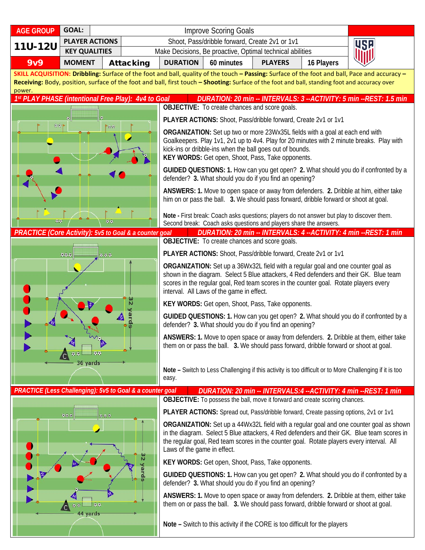